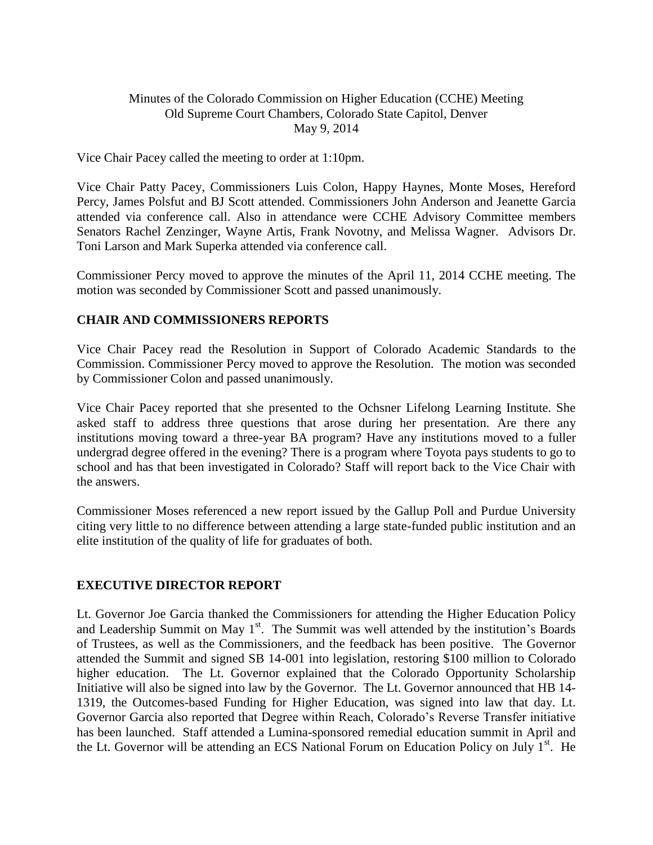### Minutes of the Colorado Commission on Higher Education (CCHE) Meeting Old Supreme Court Chambers, Colorado State Capitol, Denver May 9, 2014

Vice Chair Pacey called the meeting to order at 1:10pm.

Vice Chair Patty Pacey, Commissioners Luis Colon, Happy Haynes, Monte Moses, Hereford Percy, James Polsfut and BJ Scott attended. Commissioners John Anderson and Jeanette Garcia attended via conference call. Also in attendance were CCHE Advisory Committee members Senators Rachel Zenzinger, Wayne Artis, Frank Novotny, and Melissa Wagner. Advisors Dr. Toni Larson and Mark Superka attended via conference call.

Commissioner Percy moved to approve the minutes of the April 11, 2014 CCHE meeting. The motion was seconded by Commissioner Scott and passed unanimously.

### **CHAIR AND COMMISSIONERS REPORTS**

Vice Chair Pacey read the Resolution in Support of Colorado Academic Standards to the Commission. Commissioner Percy moved to approve the Resolution. The motion was seconded by Commissioner Colon and passed unanimously.

Vice Chair Pacey reported that she presented to the Ochsner Lifelong Learning Institute. She asked staff to address three questions that arose during her presentation. Are there any institutions moving toward a three-year BA program? Have any institutions moved to a fuller undergrad degree offered in the evening? There is a program where Toyota pays students to go to school and has that been investigated in Colorado? Staff will report back to the Vice Chair with the answers.

Commissioner Moses referenced a new report issued by the Gallup Poll and Purdue University citing very little to no difference between attending a large state-funded public institution and an elite institution of the quality of life for graduates of both.

### **EXECUTIVE DIRECTOR REPORT**

Lt. Governor Joe Garcia thanked the Commissioners for attending the Higher Education Policy and Leadership Summit on May 1<sup>st</sup>. The Summit was well attended by the institution's Boards of Trustees, as well as the Commissioners, and the feedback has been positive. The Governor attended the Summit and signed SB 14-001 into legislation, restoring \$100 million to Colorado higher education. The Lt. Governor explained that the Colorado Opportunity Scholarship Initiative will also be signed into law by the Governor. The Lt. Governor announced that HB 14- 1319, the Outcomes-based Funding for Higher Education, was signed into law that day. Lt. Governor Garcia also reported that Degree within Reach, Colorado's Reverse Transfer initiative has been launched. Staff attended a Lumina-sponsored remedial education summit in April and the Lt. Governor will be attending an ECS National Forum on Education Policy on July  $1<sup>st</sup>$ . He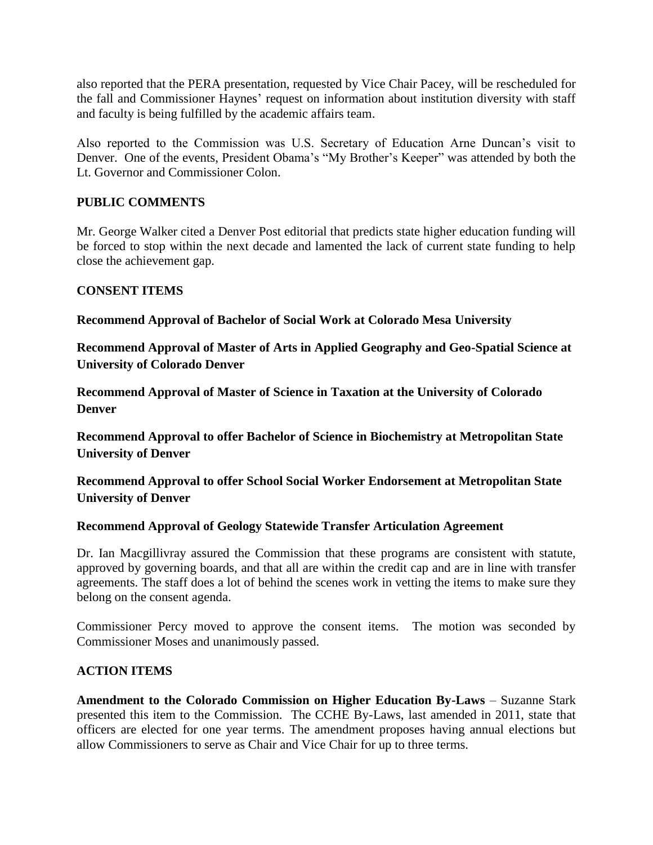also reported that the PERA presentation, requested by Vice Chair Pacey, will be rescheduled for the fall and Commissioner Haynes' request on information about institution diversity with staff and faculty is being fulfilled by the academic affairs team.

Also reported to the Commission was U.S. Secretary of Education Arne Duncan's visit to Denver. One of the events, President Obama's "My Brother's Keeper" was attended by both the Lt. Governor and Commissioner Colon.

# **PUBLIC COMMENTS**

Mr. George Walker cited a Denver Post editorial that predicts state higher education funding will be forced to stop within the next decade and lamented the lack of current state funding to help close the achievement gap.

## **CONSENT ITEMS**

**[Recommend Approval of Bachelor of Social Work at Colorado Mesa University](http://highered.colorado.gov/CCHE/Meetings/2014/may/may14_iia.pdf)**

**[Recommend Approval of Master of Arts in Applied Geography and Geo-Spatial Science at](http://highered.colorado.gov/CCHE/Meetings/2014/may/may14_iib.pdf)  [University of Colorado Denver](http://highered.colorado.gov/CCHE/Meetings/2014/may/may14_iib.pdf)**

**[Recommend Approval of Master of Science in Taxation at the University of Colorado](http://highered.colorado.gov/CCHE/Meetings/2014/may/may14_iic.pdf)  [Denver](http://highered.colorado.gov/CCHE/Meetings/2014/may/may14_iic.pdf)**

**[Recommend Approval to offer Bachelor of Science in Biochemistry at Metropolitan State](http://highered.colorado.gov/CCHE/Meetings/2014/may/may14_iid.pdf)  [University of Denver](http://highered.colorado.gov/CCHE/Meetings/2014/may/may14_iid.pdf)**

**[Recommend Approval to offer School Social Worker Endorsement at Metropolitan State](http://highered.colorado.gov/CCHE/Meetings/2014/may/may14_iie.pdf)  [University of Denver](http://highered.colorado.gov/CCHE/Meetings/2014/may/may14_iie.pdf)**

## **[Recommend Approval of Geology Statewide Transfer](http://highered.colorado.gov/CCHE/Meetings/2014/may/may14_iif.pdf) Articulation Agreement**

Dr. Ian Macgillivray assured the Commission that these programs are consistent with statute, approved by governing boards, and that all are within the credit cap and are in line with transfer agreements. The staff does a lot of behind the scenes work in vetting the items to make sure they belong on the consent agenda.

Commissioner Percy moved to approve the consent items. The motion was seconded by Commissioner Moses and unanimously passed.

## **ACTION ITEMS**

**Amendment to the Colorado Commission on Higher Education By-Laws** – Suzanne Stark presented this item to the Commission. The CCHE By-Laws, last amended in 2011, state that officers are elected for one year terms. The amendment proposes having annual elections but allow Commissioners to serve as Chair and Vice Chair for up to three terms.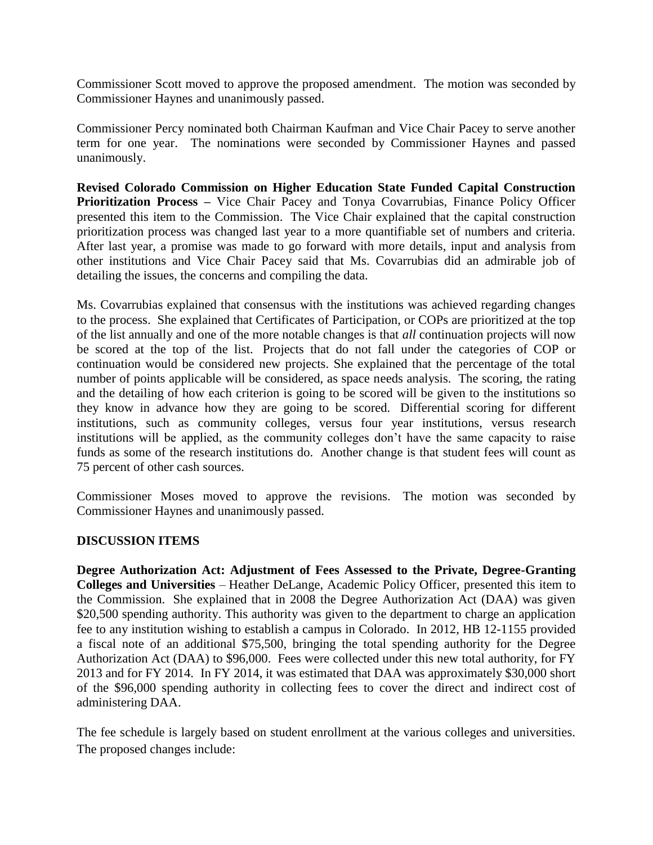Commissioner Scott moved to approve the proposed amendment. The motion was seconded by Commissioner Haynes and unanimously passed.

Commissioner Percy nominated both Chairman Kaufman and Vice Chair Pacey to serve another term for one year. The nominations were seconded by Commissioner Haynes and passed unanimously.

**Revised Colorado Commission on Higher Education State Funded Capital Construction Prioritization Process –** Vice Chair Pacey and Tonya Covarrubias, Finance Policy Officer presented this item to the Commission. The Vice Chair explained that the capital construction prioritization process was changed last year to a more quantifiable set of numbers and criteria. After last year, a promise was made to go forward with more details, input and analysis from other institutions and Vice Chair Pacey said that Ms. Covarrubias did an admirable job of detailing the issues, the concerns and compiling the data.

Ms. Covarrubias explained that consensus with the institutions was achieved regarding changes to the process. She explained that Certificates of Participation, or COPs are prioritized at the top of the list annually and one of the more notable changes is that *all* continuation projects will now be scored at the top of the list. Projects that do not fall under the categories of COP or continuation would be considered new projects. She explained that the percentage of the total number of points applicable will be considered, as space needs analysis. The scoring, the rating and the detailing of how each criterion is going to be scored will be given to the institutions so they know in advance how they are going to be scored. Differential scoring for different institutions, such as community colleges, versus four year institutions, versus research institutions will be applied, as the community colleges don't have the same capacity to raise funds as some of the research institutions do. Another change is that student fees will count as 75 percent of other cash sources.

Commissioner Moses moved to approve the revisions. The motion was seconded by Commissioner Haynes and unanimously passed.

### **DISCUSSION ITEMS**

**Degree Authorization Act: Adjustment of Fees Assessed to the Private, Degree-Granting Colleges and Universities** – Heather DeLange, Academic Policy Officer, presented this item to the Commission. She explained that in 2008 the Degree Authorization Act (DAA) was given \$20,500 spending authority. This authority was given to the department to charge an application fee to any institution wishing to establish a campus in Colorado. In 2012, HB 12-1155 provided a fiscal note of an additional \$75,500, bringing the total spending authority for the Degree Authorization Act (DAA) to \$96,000. Fees were collected under this new total authority, for FY 2013 and for FY 2014. In FY 2014, it was estimated that DAA was approximately \$30,000 short of the \$96,000 spending authority in collecting fees to cover the direct and indirect cost of administering DAA.

The fee schedule is largely based on student enrollment at the various colleges and universities. The proposed changes include: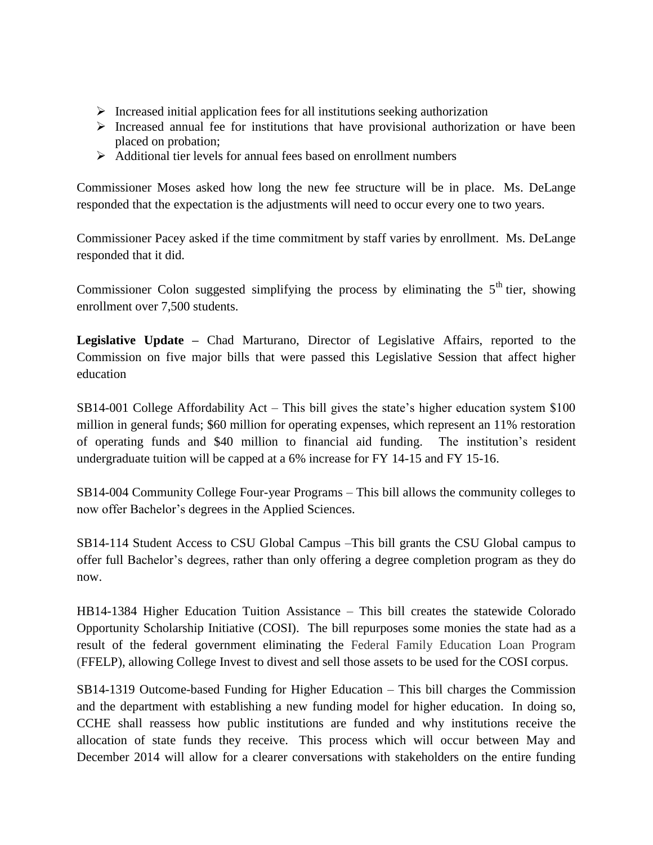- $\triangleright$  Increased initial application fees for all institutions seeking authorization
- $\triangleright$  Increased annual fee for institutions that have provisional authorization or have been placed on probation;
- $\triangleright$  Additional tier levels for annual fees based on enrollment numbers

Commissioner Moses asked how long the new fee structure will be in place. Ms. DeLange responded that the expectation is the adjustments will need to occur every one to two years.

Commissioner Pacey asked if the time commitment by staff varies by enrollment. Ms. DeLange responded that it did.

Commissioner Colon suggested simplifying the process by eliminating the  $5<sup>th</sup>$  tier, showing enrollment over 7,500 students.

**Legislative Update –** Chad Marturano, Director of Legislative Affairs, reported to the Commission on five major bills that were passed this Legislative Session that affect higher education

SB14-001 College Affordability Act – This bill gives the state's higher education system \$100 million in general funds; \$60 million for operating expenses, which represent an 11% restoration of operating funds and \$40 million to financial aid funding. The institution's resident undergraduate tuition will be capped at a 6% increase for FY 14-15 and FY 15-16.

SB14-004 Community College Four-year Programs – This bill allows the community colleges to now offer Bachelor's degrees in the Applied Sciences.

SB14-114 Student Access to CSU Global Campus –This bill grants the CSU Global campus to offer full Bachelor's degrees, rather than only offering a degree completion program as they do now.

HB14-1384 Higher Education Tuition Assistance – This bill creates the statewide Colorado Opportunity Scholarship Initiative (COSI). The bill repurposes some monies the state had as a result of the federal government eliminating the Federal Family Education Loan Program (FFELP), allowing College Invest to divest and sell those assets to be used for the COSI corpus.

SB14-1319 Outcome-based Funding for Higher Education – This bill charges the Commission and the department with establishing a new funding model for higher education. In doing so, CCHE shall reassess how public institutions are funded and why institutions receive the allocation of state funds they receive. This process which will occur between May and December 2014 will allow for a clearer conversations with stakeholders on the entire funding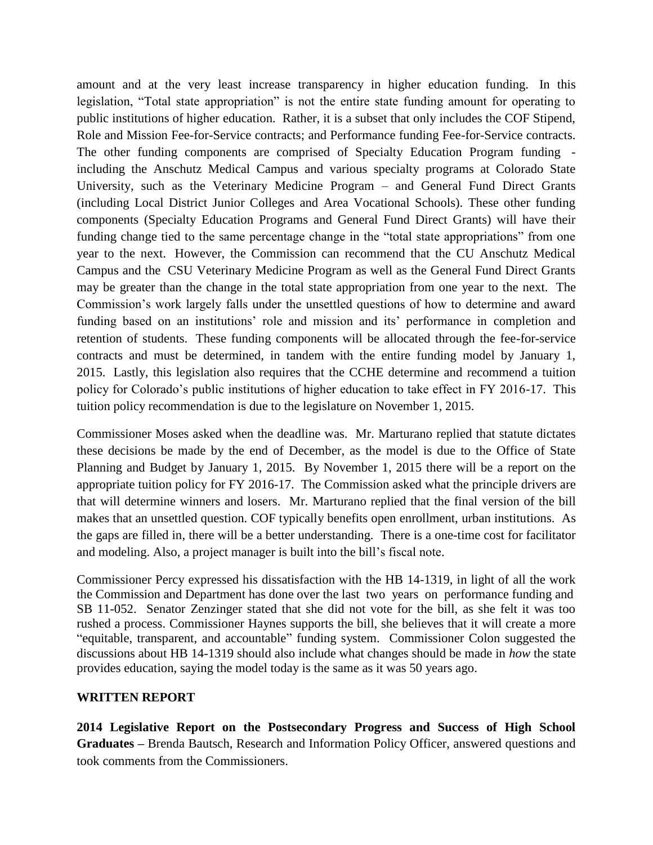amount and at the very least increase transparency in higher education funding. In this legislation, "Total state appropriation" is not the entire state funding amount for operating to public institutions of higher education. Rather, it is a subset that only includes the COF Stipend, Role and Mission Fee-for-Service contracts; and Performance funding Fee-for-Service contracts. The other funding components are comprised of Specialty Education Program funding including the Anschutz Medical Campus and various specialty programs at Colorado State University, such as the Veterinary Medicine Program – and General Fund Direct Grants (including Local District Junior Colleges and Area Vocational Schools). These other funding components (Specialty Education Programs and General Fund Direct Grants) will have their funding change tied to the same percentage change in the "total state appropriations" from one year to the next. However, the Commission can recommend that the CU Anschutz Medical Campus and the CSU Veterinary Medicine Program as well as the General Fund Direct Grants may be greater than the change in the total state appropriation from one year to the next. The Commission's work largely falls under the unsettled questions of how to determine and award funding based on an institutions' role and mission and its' performance in completion and retention of students. These funding components will be allocated through the fee-for-service contracts and must be determined, in tandem with the entire funding model by January 1, 2015. Lastly, this legislation also requires that the CCHE determine and recommend a tuition policy for Colorado's public institutions of higher education to take effect in FY 2016-17. This tuition policy recommendation is due to the legislature on November 1, 2015.

Commissioner Moses asked when the deadline was. Mr. Marturano replied that statute dictates these decisions be made by the end of December, as the model is due to the Office of State Planning and Budget by January 1, 2015. By November 1, 2015 there will be a report on the appropriate tuition policy for FY 2016-17. The Commission asked what the principle drivers are that will determine winners and losers. Mr. Marturano replied that the final version of the bill makes that an unsettled question. COF typically benefits open enrollment, urban institutions. As the gaps are filled in, there will be a better understanding. There is a one-time cost for facilitator and modeling. Also, a project manager is built into the bill's fiscal note.

Commissioner Percy expressed his dissatisfaction with the HB 14-1319, in light of all the work the Commission and Department has done over the last two years on performance funding and SB 11-052. Senator Zenzinger stated that she did not vote for the bill, as she felt it was too rushed a process. Commissioner Haynes supports the bill, she believes that it will create a more "equitable, transparent, and accountable" funding system. Commissioner Colon suggested the discussions about HB 14-1319 should also include what changes should be made in *how* the state provides education, saying the model today is the same as it was 50 years ago.

### **WRITTEN REPORT**

**2014 Legislative Report on the Postsecondary Progress and Success of High School Graduates –** Brenda Bautsch, Research and Information Policy Officer, answered questions and took comments from the Commissioners.